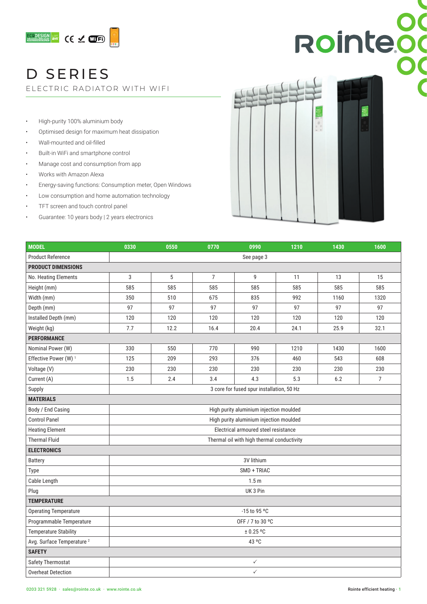

### D SERIES

ELECTRIC RADIATOR WITH WIFI

- High-purity 100% aluminium body
- Optimised design for maximum heat dissipation
- Wall-mounted and oil-filled
- Built-in WiFi and smartphone control
- Manage cost and consumption from app
- Works with Amazon Alexa
- Energy-saving functions: Consumption meter, Open Windows
- Low consumption and home automation technology
- TFT screen and touch control panel
- Guarantee: 10 years body | 2 years electronics



| <b>MODEL</b>                          | 0330                                       | 0550 | 0770           | 0990 | 1210 | 1430 | 1600           |  |  |
|---------------------------------------|--------------------------------------------|------|----------------|------|------|------|----------------|--|--|
| <b>Product Reference</b>              | See page 3                                 |      |                |      |      |      |                |  |  |
| <b>PRODUCT DIMENSIONS</b>             |                                            |      |                |      |      |      |                |  |  |
| No. Heating Elements                  | 3                                          | 5    | $\overline{7}$ | 9    | 11   | 13   | 15             |  |  |
| Height (mm)                           | 585                                        | 585  | 585            | 585  | 585  | 585  | 585            |  |  |
| Width (mm)                            | 350                                        | 510  | 675            | 835  | 992  | 1160 | 1320           |  |  |
| Depth (mm)                            | 97                                         | 97   | 97             | 97   | 97   | 97   | 97             |  |  |
| Installed Depth (mm)                  | 120                                        | 120  | 120            | 120  | 120  | 120  | 120            |  |  |
| Weight (kg)                           | 7.7                                        | 12.2 | 16.4           | 20.4 | 24.1 | 25.9 | 32.1           |  |  |
| <b>PERFORMANCE</b>                    |                                            |      |                |      |      |      |                |  |  |
| Nominal Power (W)                     | 330                                        | 550  | 770            | 990  | 1210 | 1430 | 1600           |  |  |
| Effective Power (W) <sup>1</sup>      | 125                                        | 209  | 293            | 376  | 460  | 543  | 608            |  |  |
| Voltage (V)                           | 230                                        | 230  | 230            | 230  | 230  | 230  | 230            |  |  |
| Current (A)                           | 1.5                                        | 2.4  | 3.4            | 4.3  | 5.3  | 6.2  | $\overline{7}$ |  |  |
| Supply                                | 3 core for fused spur installation, 50 Hz  |      |                |      |      |      |                |  |  |
| <b>MATERIALS</b>                      |                                            |      |                |      |      |      |                |  |  |
| Body / End Casing                     | High purity aluminium injection moulded    |      |                |      |      |      |                |  |  |
| <b>Control Panel</b>                  | High purity aluminium injection moulded    |      |                |      |      |      |                |  |  |
| <b>Heating Element</b>                | Electrical armoured steel resistance       |      |                |      |      |      |                |  |  |
| <b>Thermal Fluid</b>                  | Thermal oil with high thermal conductivity |      |                |      |      |      |                |  |  |
| <b>ELECTRONICS</b>                    |                                            |      |                |      |      |      |                |  |  |
| Battery                               | 3V lithium                                 |      |                |      |      |      |                |  |  |
| Type                                  | SMD + TRIAC                                |      |                |      |      |      |                |  |  |
| Cable Length                          | 1.5 <sub>m</sub>                           |      |                |      |      |      |                |  |  |
| Plug                                  | UK 3 Pin                                   |      |                |      |      |      |                |  |  |
| <b>TEMPERATURE</b>                    |                                            |      |                |      |      |      |                |  |  |
| <b>Operating Temperature</b>          | -15 to 95 °C                               |      |                |      |      |      |                |  |  |
| Programmable Temperature              | OFF / 7 to 30 °C                           |      |                |      |      |      |                |  |  |
| <b>Temperature Stability</b>          | $\pm$ 0.25 °C                              |      |                |      |      |      |                |  |  |
| Avg. Surface Temperature <sup>2</sup> | 43 °C                                      |      |                |      |      |      |                |  |  |
| <b>SAFETY</b>                         |                                            |      |                |      |      |      |                |  |  |
| Safety Thermostat                     | ✓                                          |      |                |      |      |      |                |  |  |
| <b>Overheat Detection</b>             | $\checkmark$                               |      |                |      |      |      |                |  |  |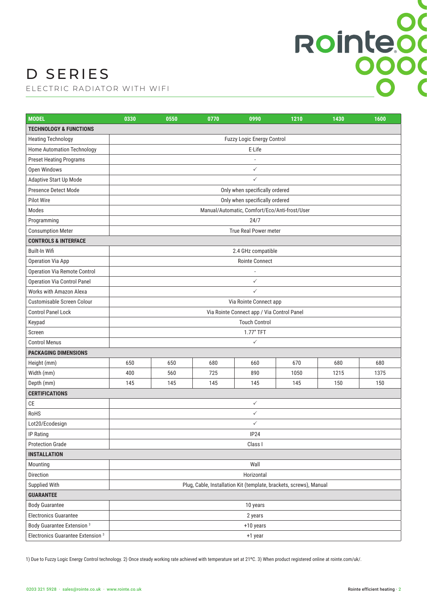# Rointeod

### D SERIES

ELECTRIC RADIATOR WITH WIFI

| <b>MODEL</b>                                 | 0330                                                               | 0550               | 0770 | 0990                              | 1210 | 1430 | 1600 |  |  |  |
|----------------------------------------------|--------------------------------------------------------------------|--------------------|------|-----------------------------------|------|------|------|--|--|--|
| <b>TECHNOLOGY &amp; FUNCTIONS</b>            |                                                                    |                    |      |                                   |      |      |      |  |  |  |
| <b>Heating Technology</b>                    |                                                                    |                    |      | <b>Fuzzy Logic Energy Control</b> |      |      |      |  |  |  |
| Home Automation Technology                   |                                                                    |                    |      | E-Life                            |      |      |      |  |  |  |
| <b>Preset Heating Programs</b>               |                                                                    |                    |      |                                   |      |      |      |  |  |  |
| Open Windows                                 | $\checkmark$                                                       |                    |      |                                   |      |      |      |  |  |  |
| Adaptive Start Up Mode                       | $\checkmark$                                                       |                    |      |                                   |      |      |      |  |  |  |
| Presence Detect Mode                         | Only when specifically ordered                                     |                    |      |                                   |      |      |      |  |  |  |
| <b>Pilot Wire</b>                            | Only when specifically ordered                                     |                    |      |                                   |      |      |      |  |  |  |
| Modes                                        | Manual/Automatic, Comfort/Eco/Anti-frost/User                      |                    |      |                                   |      |      |      |  |  |  |
| Programming                                  | 24/7                                                               |                    |      |                                   |      |      |      |  |  |  |
| <b>Consumption Meter</b>                     |                                                                    |                    |      | True Real Power meter             |      |      |      |  |  |  |
| <b>CONTROLS &amp; INTERFACE</b>              |                                                                    |                    |      |                                   |      |      |      |  |  |  |
| Built-In Wifi                                |                                                                    | 2.4 GHz compatible |      |                                   |      |      |      |  |  |  |
| Operation Via App                            |                                                                    |                    |      | Rointe Connect                    |      |      |      |  |  |  |
| Operation Via Remote Control                 |                                                                    |                    |      |                                   |      |      |      |  |  |  |
| <b>Operation Via Control Panel</b>           |                                                                    |                    |      | $\checkmark$                      |      |      |      |  |  |  |
| <b>Works with Amazon Alexa</b>               | $\checkmark$                                                       |                    |      |                                   |      |      |      |  |  |  |
| Customisable Screen Colour                   | Via Rointe Connect app                                             |                    |      |                                   |      |      |      |  |  |  |
| <b>Control Panel Lock</b>                    | Via Rointe Connect app / Via Control Panel                         |                    |      |                                   |      |      |      |  |  |  |
| Keypad                                       | <b>Touch Control</b>                                               |                    |      |                                   |      |      |      |  |  |  |
| Screen                                       | 1.77" TFT                                                          |                    |      |                                   |      |      |      |  |  |  |
| <b>Control Menus</b>                         | $\checkmark$                                                       |                    |      |                                   |      |      |      |  |  |  |
| <b>PACKAGING DIMENSIONS</b>                  |                                                                    |                    |      |                                   |      |      |      |  |  |  |
| Height (mm)                                  | 650                                                                | 650                | 680  | 660                               | 670  | 680  | 680  |  |  |  |
| Width (mm)                                   | 400                                                                | 560                | 725  | 890                               | 1050 | 1215 | 1375 |  |  |  |
| Depth (mm)                                   | 145                                                                | 145                | 145  | 145                               | 145  | 150  | 150  |  |  |  |
| <b>CERTIFICATIONS</b>                        |                                                                    |                    |      |                                   |      |      |      |  |  |  |
| CE                                           | $\checkmark$                                                       |                    |      |                                   |      |      |      |  |  |  |
| RoHS                                         | $\checkmark$                                                       |                    |      |                                   |      |      |      |  |  |  |
| Lot20/Ecodesign                              | $\checkmark$                                                       |                    |      |                                   |      |      |      |  |  |  |
| IP Rating                                    | <b>IP24</b>                                                        |                    |      |                                   |      |      |      |  |  |  |
| <b>Protection Grade</b>                      | Class I                                                            |                    |      |                                   |      |      |      |  |  |  |
| <b>INSTALLATION</b>                          |                                                                    |                    |      |                                   |      |      |      |  |  |  |
| Mounting                                     | Wall                                                               |                    |      |                                   |      |      |      |  |  |  |
| Direction                                    | Horizontal                                                         |                    |      |                                   |      |      |      |  |  |  |
| Supplied With                                | Plug, Cable, Installation Kit (template, brackets, screws), Manual |                    |      |                                   |      |      |      |  |  |  |
| <b>GUARANTEE</b>                             |                                                                    |                    |      |                                   |      |      |      |  |  |  |
| <b>Body Guarantee</b>                        | 10 years                                                           |                    |      |                                   |      |      |      |  |  |  |
| <b>Electronics Guarantee</b>                 | 2 years                                                            |                    |      |                                   |      |      |      |  |  |  |
| Body Guarantee Extension <sup>3</sup>        | +10 years                                                          |                    |      |                                   |      |      |      |  |  |  |
| Electronics Guarantee Extension <sup>3</sup> | +1 year                                                            |                    |      |                                   |      |      |      |  |  |  |

1) Due to Fuzzy Logic Energy Control technology. 2) Once steady working rate achieved with temperature set at 21ºC. 3) When product registered online at rointe.com/uk/.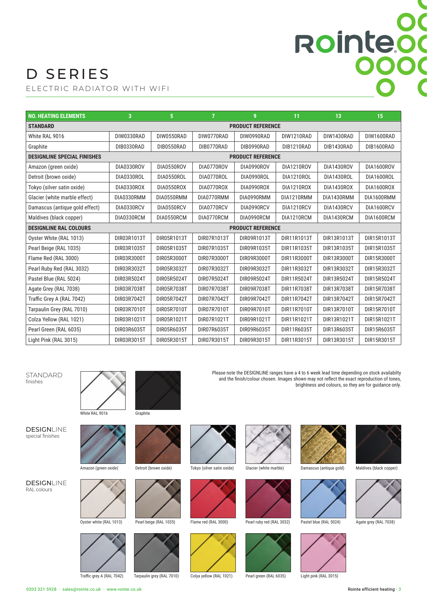# Rointeod

### D SERIES

ELECTRIC RADIATOR WITH WIFI

| <b>NO. HEATING ELEMENTS</b>        | $\overline{3}$           | 5 <sup>5</sup> | $\overline{7}$ | 9           | 11          | 13          | 15          |  |
|------------------------------------|--------------------------|----------------|----------------|-------------|-------------|-------------|-------------|--|
| <b>STANDARD</b>                    | <b>PRODUCT REFERENCE</b> |                |                |             |             |             |             |  |
| White RAL 9016                     | DIW0330RAD               | DIW0550RAD     | DIW0770RAD     | DIW0990RAD  | DIW1210RAD  | DIW1430RAD  | DIW1600RAD  |  |
| Graphite                           | DIB0330RAD               | DIB0550RAD     | DIB0770RAD     | DIB0990RAD  | DIB1210RAD  | DIB1430RAD  | DIB1600RAD  |  |
| <b>DESIGNLINE SPECIAL FINISHES</b> | <b>PRODUCT REFERENCE</b> |                |                |             |             |             |             |  |
| Amazon (green oxide)               | DIA0330ROV               | DIA0550ROV     | DIA0770ROV     | DIA0990ROV  | DIA1210ROV  | DIA1430ROV  | DIA1600ROV  |  |
| Detroit (brown oxide)              | DIA0330ROL               | DIA0550ROL     | DIA0770ROL     | DIA0990ROL  | DIA1210ROL  | DIA1430ROL  | DIA1600ROL  |  |
| Tokyo (silver satin oxide)         | DIA0330ROX               | DIA0550ROX     | DIA0770ROX     | DIA0990ROX  | DIA1210ROX  | DIA1430ROX  | DIA1600ROX  |  |
| Glacier (white marble effect)      | DIA0330RMM               | DIA0550RMM     | DIA0770RMM     | DIA0990RMM  | DIA1210RMM  | DIA1430RMM  | DIA1600RMM  |  |
| Damascus (antique gold effect)     | DIA0330RCV               | DIA0550RCV     | DIA0770RCV     | DIA0990RCV  | DIA1210RCV  | DIA1430RCV  | DIA1600RCV  |  |
| Maldives (black copper)            | DIA0330RCM               | DIA0550RCM     | DIA0770RCM     | DIA0990RCM  | DIA1210RCM  | DIA1430RCM  | DIA1600RCM  |  |
| <b>DESIGNLINE RAL COLOURS</b>      | <b>PRODUCT REFERENCE</b> |                |                |             |             |             |             |  |
| Oyster White (RAL 1013)            | DIR03R1013T              | DIR05R1013T    | DIR07R1013T    | DIR09R1013T | DIR11R1013T | DIR13R1013T | DIR15R1013T |  |
| Pearl Beige (RAL 1035)             | DIR03R1035T              | DIR05R1035T    | DIR07R1035T    | DIR09R1035T | DIR11R1035T | DIR13R1035T | DIR15R1035T |  |
| Flame Red (RAL 3000)               | DIR03R3000T              | DIR05R3000T    | DIR07R3000T    | DIR09R3000T | DIR11R3000T | DIR13R3000T | DIR15R3000T |  |
| Pearl Ruby Red (RAL 3032)          | DIR03R3032T              | DIR05R3032T    | DIR07R3032T    | DIR09R3032T | DIR11R3032T | DIR13R3032T | DIR15R3032T |  |
| Pastel Blue (RAL 5024)             | DIR03R5024T              | DIR05R5024T    | DIR07R5024T    | DIR09R5024T | DIR11R5024T | DIR13R5024T | DIR15R5024T |  |
| Agate Grey (RAL 7038)              | DIR03R7038T              | DIR05R7038T    | DIR07R7038T    | DIR09R7038T | DIR11R7038T | DIR13R7038T | DIR15R7038T |  |
| Traffic Grey A (RAL 7042)          | DIR03R7042T              | DIR05R7042T    | DIR07R7042T    | DIR09R7042T | DIR11R7042T | DIR13R7042T | DIR15R7042T |  |
| Tarpaulin Grey (RAL 7010)          | DIR03R7010T              | DIR05R7010T    | DIR07R7010T    | DIR09R7010T | DIR11R7010T | DIR13R7010T | DIR15R7010T |  |
| Colza Yellow (RAL 1021)            | DIR03R1021T              | DIR05R1021T    | DIR07R1021T    | DIR09R1021T | DIR11R1021T | DIR13R1021T | DIR15R1021T |  |
| Pearl Green (RAL 6035)             | DIR03R6035T              | DIR05R6035T    | DIR07R6035T    | DIR09R6035T | DIR11R6035T | DIR13R6035T | DIR15R6035T |  |
| Light Pink (RAL 3015)              | DIR03R3015T              | DIR05R3015T    | DIR07R3015T    | DIR09R3015T | DIR11R3015T | DIR13R3015T | DIR15R3015T |  |

STANDARD finishes

DESIGNLINE

special finishes

**DESIGNLINE** RAL colours











Traffic grey A (RAL 7042)

Amazon (green oxide)

Oyster white (RAL 1013)

Tarpaulin grey (RAL 7010) Colya yellow (RAL 1021) Pearl green (RAL 6035) Light pink (RAL 3015)





















Please note the DESIGNLINE ranges have a 4 to 6 week lead time depending on stock availabilty







brightness and colours, so they are for guidance only.